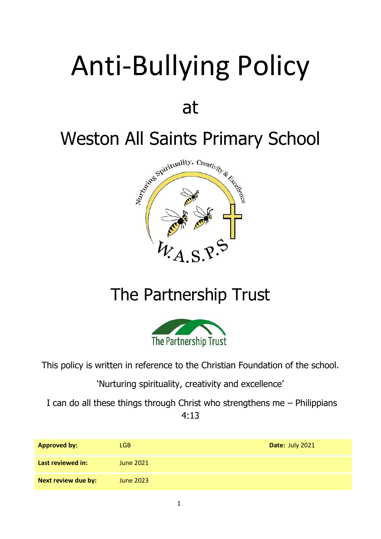# Anti-Bullying Policy

## at



## The Partnership Trust



This policy is written in reference to the Christian Foundation of the school.

'Nurturing spirituality, creativity and excellence'

I can do all these things through Christ who strengthens me – Philippians 4:13

| <b>Approved by:</b> | LGB.             | Date: July 2021 |
|---------------------|------------------|-----------------|
| Last reviewed in:   | June 2021        |                 |
| Next review due by: | <b>June 2023</b> |                 |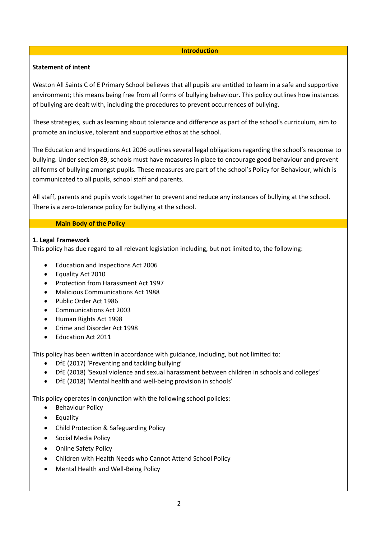#### **Introduction**

#### **Statement of intent**

Weston All Saints C of E Primary School believes that all pupils are entitled to learn in a safe and supportive environment; this means being free from all forms of bullying behaviour. This policy outlines how instances of bullying are dealt with, including the procedures to prevent occurrences of bullying.

These strategies, such as learning about tolerance and difference as part of the school's curriculum, aim to promote an inclusive, tolerant and supportive ethos at the school.

The Education and Inspections Act 2006 outlines several legal obligations regarding the school's response to bullying. Under section 89, schools must have measures in place to encourage good behaviour and prevent all forms of bullying amongst pupils. These measures are part of the school's Policy for Behaviour, which is communicated to all pupils, school staff and parents.

All staff, parents and pupils work together to prevent and reduce any instances of bullying at the school. There is a zero-tolerance policy for bullying at the school.

#### **Main Body of the Policy**

#### **1. Legal Framework**

This policy has due regard to all relevant legislation including, but not limited to, the following:

- Education and Inspections Act 2006
- Equality Act 2010
- Protection from Harassment Act 1997
- Malicious Communications Act 1988
- Public Order Act 1986
- Communications Act 2003
- Human Rights Act 1998
- Crime and Disorder Act 1998
- Education Act 2011

This policy has been written in accordance with guidance, including, but not limited to:

- DfE (2017) 'Preventing and tackling bullying'
- DfE (2018) 'Sexual violence and sexual harassment between children in schools and colleges'
- DfE (2018) 'Mental health and well-being provision in schools'

This policy operates in conjunction with the following school policies:

- Behaviour Policy
- Equality
- Child Protection & Safeguarding Policy
- Social Media Policy
- Online Safety Policy
- Children with Health Needs who Cannot Attend School Policy
- Mental Health and Well-Being Policy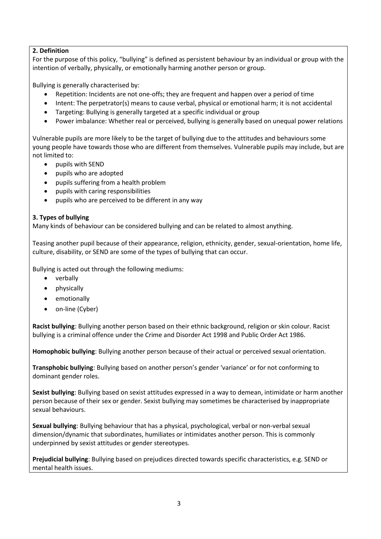#### **2. Definition**

For the purpose of this policy, "bullying" is defined as persistent behaviour by an individual or group with the intention of verbally, physically, or emotionally harming another person or group.

Bullying is generally characterised by:

- Repetition: Incidents are not one-offs; they are frequent and happen over a period of time
- Intent: The perpetrator(s) means to cause verbal, physical or emotional harm; it is not accidental
- Targeting: Bullying is generally targeted at a specific individual or group
- Power imbalance: Whether real or perceived, bullying is generally based on unequal power relations

Vulnerable pupils are more likely to be the target of bullying due to the attitudes and behaviours some young people have towards those who are different from themselves. Vulnerable pupils may include, but are not limited to:

- pupils with SEND
- pupils who are adopted
- pupils suffering from a health problem
- pupils with caring responsibilities
- pupils who are perceived to be different in any way

#### **3. Types of bullying**

Many kinds of behaviour can be considered bullying and can be related to almost anything.

Teasing another pupil because of their appearance, religion, ethnicity, gender, sexual-orientation, home life, culture, disability, or SEND are some of the types of bullying that can occur.

Bullying is acted out through the following mediums:

- verbally
- physically
- emotionally
- on-line (Cyber)

**Racist bullying**: Bullying another person based on their ethnic background, religion or skin colour. Racist bullying is a criminal offence under the Crime and Disorder Act 1998 and Public Order Act 1986.

**Homophobic bullying**: Bullying another person because of their actual or perceived sexual orientation.

**Transphobic bullying**: Bullying based on another person's gender 'variance' or for not conforming to dominant gender roles.

**Sexist bullying**: Bullying based on sexist attitudes expressed in a way to demean, intimidate or harm another person because of their sex or gender. Sexist bullying may sometimes be characterised by inappropriate sexual behaviours.

**Sexual bullying**: Bullying behaviour that has a physical, psychological, verbal or non-verbal sexual dimension/dynamic that subordinates, humiliates or intimidates another person. This is commonly underpinned by sexist attitudes or gender stereotypes.

**Prejudicial bullying**: Bullying based on prejudices directed towards specific characteristics, e.g. SEND or mental health issues.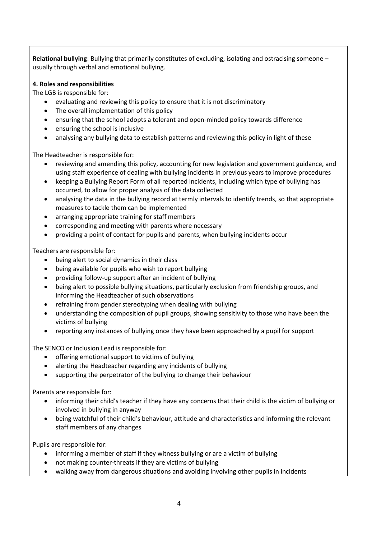**Relational bullying**: Bullying that primarily constitutes of excluding, isolating and ostracising someone – usually through verbal and emotional bullying.

#### **4. Roles and responsibilities**

The LGB is responsible for:

- evaluating and reviewing this policy to ensure that it is not discriminatory
- The overall implementation of this policy
- ensuring that the school adopts a tolerant and open-minded policy towards difference
- ensuring the school is inclusive
- analysing any bullying data to establish patterns and reviewing this policy in light of these

The Headteacher is responsible for:

- reviewing and amending this policy, accounting for new legislation and government guidance, and using staff experience of dealing with bullying incidents in previous years to improve procedures
- keeping a Bullying Report Form of all reported incidents, including which type of bullying has occurred, to allow for proper analysis of the data collected
- analysing the data in the bullying record at termly intervals to identify trends, so that appropriate measures to tackle them can be implemented
- arranging appropriate training for staff members
- corresponding and meeting with parents where necessary
- providing a point of contact for pupils and parents, when bullying incidents occur

Teachers are responsible for:

- being alert to social dynamics in their class
- being available for pupils who wish to report bullying
- providing follow-up support after an incident of bullying
- being alert to possible bullying situations, particularly exclusion from friendship groups, and informing the Headteacher of such observations
- refraining from gender stereotyping when dealing with bullying
- understanding the composition of pupil groups, showing sensitivity to those who have been the victims of bullying
- reporting any instances of bullying once they have been approached by a pupil for support

The SENCO or Inclusion Lead is responsible for:

- offering emotional support to victims of bullying
- alerting the Headteacher regarding any incidents of bullying
- supporting the perpetrator of the bullying to change their behaviour

Parents are responsible for:

- informing their child's teacher if they have any concerns that their child is the victim of bullying or involved in bullying in anyway
- being watchful of their child's behaviour, attitude and characteristics and informing the relevant staff members of any changes

Pupils are responsible for:

- informing a member of staff if they witness bullying or are a victim of bullying
- not making counter-threats if they are victims of bullying
- walking away from dangerous situations and avoiding involving other pupils in incidents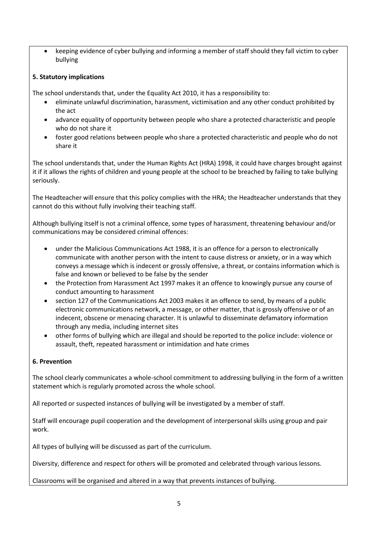• keeping evidence of cyber bullying and informing a member of staff should they fall victim to cyber bullying

#### **5. Statutory implications**

The school understands that, under the Equality Act 2010, it has a responsibility to:

- eliminate unlawful discrimination, harassment, victimisation and any other conduct prohibited by the act
- advance equality of opportunity between people who share a protected characteristic and people who do not share it
- foster good relations between people who share a protected characteristic and people who do not share it

The school understands that, under the Human Rights Act (HRA) 1998, it could have charges brought against it if it allows the rights of children and young people at the school to be breached by failing to take bullying seriously.

The Headteacher will ensure that this policy complies with the HRA; the Headteacher understands that they cannot do this without fully involving their teaching staff.

Although bullying itself is not a criminal offence, some types of harassment, threatening behaviour and/or communications may be considered criminal offences:

- under the Malicious Communications Act 1988, it is an offence for a person to electronically communicate with another person with the intent to cause distress or anxiety, or in a way which conveys a message which is indecent or grossly offensive, a threat, or contains information which is false and known or believed to be false by the sender
- the Protection from Harassment Act 1997 makes it an offence to knowingly pursue any course of conduct amounting to harassment
- section 127 of the Communications Act 2003 makes it an offence to send, by means of a public electronic communications network, a message, or other matter, that is grossly offensive or of an indecent, obscene or menacing character. It is unlawful to disseminate defamatory information through any media, including internet sites
- other forms of bullying which are illegal and should be reported to the police include: violence or assault, theft, repeated harassment or intimidation and hate crimes

### **6. Prevention**

The school clearly communicates a whole-school commitment to addressing bullying in the form of a written statement which is regularly promoted across the whole school.

All reported or suspected instances of bullying will be investigated by a member of staff.

Staff will encourage pupil cooperation and the development of interpersonal skills using group and pair work.

All types of bullying will be discussed as part of the curriculum.

Diversity, difference and respect for others will be promoted and celebrated through various lessons.

Classrooms will be organised and altered in a way that prevents instances of bullying.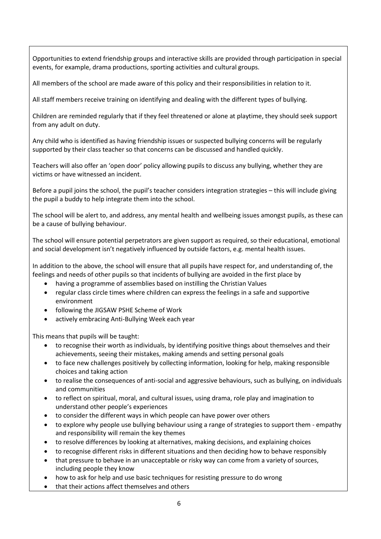Opportunities to extend friendship groups and interactive skills are provided through participation in special events, for example, drama productions, sporting activities and cultural groups.

All members of the school are made aware of this policy and their responsibilities in relation to it.

All staff members receive training on identifying and dealing with the different types of bullying.

Children are reminded regularly that if they feel threatened or alone at playtime, they should seek support from any adult on duty.

Any child who is identified as having friendship issues or suspected bullying concerns will be regularly supported by their class teacher so that concerns can be discussed and handled quickly.

Teachers will also offer an 'open door' policy allowing pupils to discuss any bullying, whether they are victims or have witnessed an incident.

Before a pupil joins the school, the pupil's teacher considers integration strategies – this will include giving the pupil a buddy to help integrate them into the school.

The school will be alert to, and address, any mental health and wellbeing issues amongst pupils, as these can be a cause of bullying behaviour.

The school will ensure potential perpetrators are given support as required, so their educational, emotional and social development isn't negatively influenced by outside factors, e.g. mental health issues.

In addition to the above, the school will ensure that all pupils have respect for, and understanding of, the feelings and needs of other pupils so that incidents of bullying are avoided in the first place by

- having a programme of assemblies based on instilling the Christian Values
- regular class circle times where children can express the feelings in a safe and supportive environment
- following the JIGSAW PSHE Scheme of Work
- actively embracing Anti-Bullying Week each year

This means that pupils will be taught:

- to recognise their worth as individuals, by identifying positive things about themselves and their achievements, seeing their mistakes, making amends and setting personal goals
- to face new challenges positively by collecting information, looking for help, making responsible choices and taking action
- to realise the consequences of anti-social and aggressive behaviours, such as bullying, on individuals and communities
- to reflect on spiritual, moral, and cultural issues, using drama, role play and imagination to understand other people's experiences
- to consider the different ways in which people can have power over others
- to explore why people use bullying behaviour using a range of strategies to support them empathy and responsibility will remain the key themes
- to resolve differences by looking at alternatives, making decisions, and explaining choices
- to recognise different risks in different situations and then deciding how to behave responsibly
- that pressure to behave in an unacceptable or risky way can come from a variety of sources, including people they know
- how to ask for help and use basic techniques for resisting pressure to do wrong
- that their actions affect themselves and others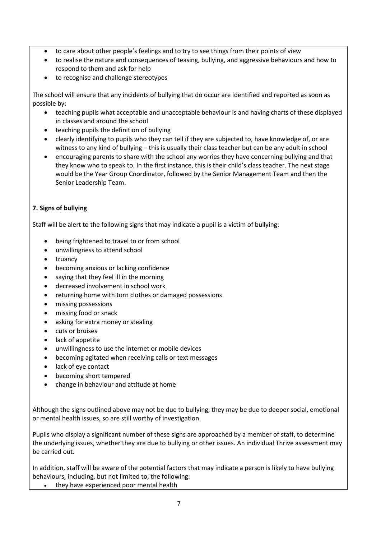- to care about other people's feelings and to try to see things from their points of view
- to realise the nature and consequences of teasing, bullying, and aggressive behaviours and how to respond to them and ask for help
- to recognise and challenge stereotypes

The school will ensure that any incidents of bullying that do occur are identified and reported as soon as possible by:

- teaching pupils what acceptable and unacceptable behaviour is and having charts of these displayed in classes and around the school
- teaching pupils the definition of bullying
- clearly identifying to pupils who they can tell if they are subjected to, have knowledge of, or are witness to any kind of bullying – this is usually their class teacher but can be any adult in school
- encouraging parents to share with the school any worries they have concerning bullying and that they know who to speak to. In the first instance, this is their child's class teacher. The next stage would be the Year Group Coordinator, followed by the Senior Management Team and then the Senior Leadership Team.

#### **7. Signs of bullying**

Staff will be alert to the following signs that may indicate a pupil is a victim of bullying:

- being frightened to travel to or from school
- unwillingness to attend school
- truancy
- becoming anxious or lacking confidence
- saying that they feel ill in the morning
- decreased involvement in school work
- returning home with torn clothes or damaged possessions
- missing possessions
- missing food or snack
- asking for extra money or stealing
- cuts or bruises
- lack of appetite
- unwillingness to use the internet or mobile devices
- becoming agitated when receiving calls or text messages
- lack of eye contact
- becoming short tempered
- change in behaviour and attitude at home

Although the signs outlined above may not be due to bullying, they may be due to deeper social, emotional or mental health issues, so are still worthy of investigation.

Pupils who display a significant number of these signs are approached by a member of staff, to determine the underlying issues, whether they are due to bullying or other issues. An individual Thrive assessment may be carried out.

In addition, staff will be aware of the potential factors that may indicate a person is likely to have bullying behaviours, including, but not limited to, the following:

• they have experienced poor mental health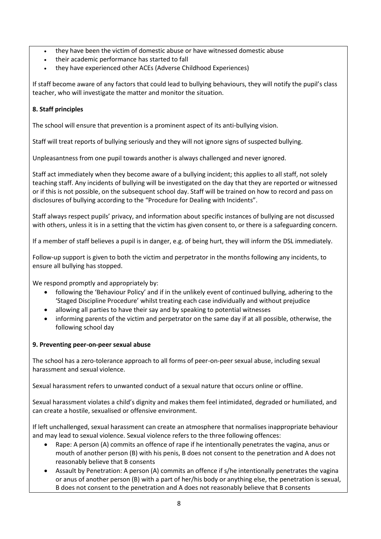- they have been the victim of domestic abuse or have witnessed domestic abuse
- their academic performance has started to fall
- they have experienced other ACEs (Adverse Childhood Experiences)

If staff become aware of any factors that could lead to bullying behaviours, they will notify the pupil's class teacher, who will investigate the matter and monitor the situation.

#### **8. Staff principles**

The school will ensure that prevention is a prominent aspect of its anti-bullying vision.

Staff will treat reports of bullying seriously and they will not ignore signs of suspected bullying.

Unpleasantness from one pupil towards another is always challenged and never ignored.

Staff act immediately when they become aware of a bullying incident; this applies to all staff, not solely teaching staff. Any incidents of bullying will be investigated on the day that they are reported or witnessed or if this is not possible, on the subsequent school day. Staff will be trained on how to record and pass on disclosures of bullying according to the "Procedure for Dealing with Incidents".

Staff always respect pupils' privacy, and information about specific instances of bullying are not discussed with others, unless it is in a setting that the victim has given consent to, or there is a safeguarding concern.

If a member of staff believes a pupil is in danger, e.g. of being hurt, they will inform the DSL immediately.

Follow-up support is given to both the victim and perpetrator in the months following any incidents, to ensure all bullying has stopped.

We respond promptly and appropriately by:

- following the 'Behaviour Policy' and if in the unlikely event of continued bullying, adhering to the 'Staged Discipline Procedure' whilst treating each case individually and without prejudice
- allowing all parties to have their say and by speaking to potential witnesses
- informing parents of the victim and perpetrator on the same day if at all possible, otherwise, the following school day

#### **9. Preventing peer-on-peer sexual abuse**

The school has a zero-tolerance approach to all forms of peer-on-peer sexual abuse, including sexual harassment and sexual violence.

Sexual harassment refers to unwanted conduct of a sexual nature that occurs online or offline.

Sexual harassment violates a child's dignity and makes them feel intimidated, degraded or humiliated, and can create a hostile, sexualised or offensive environment.

If left unchallenged, sexual harassment can create an atmosphere that normalises inappropriate behaviour and may lead to sexual violence. Sexual violence refers to the three following offences:

- Rape: A person (A) commits an offence of rape if he intentionally penetrates the vagina, anus or mouth of another person (B) with his penis, B does not consent to the penetration and A does not reasonably believe that B consents
- Assault by Penetration: A person (A) commits an offence if s/he intentionally penetrates the vagina or anus of another person (B) with a part of her/his body or anything else, the penetration is sexual, B does not consent to the penetration and A does not reasonably believe that B consents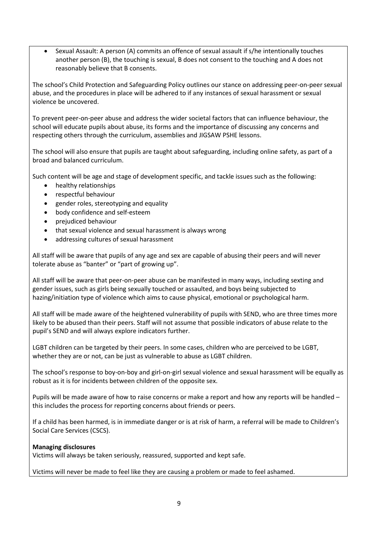• Sexual Assault: A person (A) commits an offence of sexual assault if s/he intentionally touches another person (B), the touching is sexual, B does not consent to the touching and A does not reasonably believe that B consents.

The school's Child Protection and Safeguarding Policy outlines our stance on addressing peer-on-peer sexual abuse, and the procedures in place will be adhered to if any instances of sexual harassment or sexual violence be uncovered.

To prevent peer-on-peer abuse and address the wider societal factors that can influence behaviour, the school will educate pupils about abuse, its forms and the importance of discussing any concerns and respecting others through the curriculum, assemblies and JIGSAW PSHE lessons.

The school will also ensure that pupils are taught about safeguarding, including online safety, as part of a broad and balanced curriculum.

Such content will be age and stage of development specific, and tackle issues such as the following:

- healthy relationships
- respectful behaviour
- gender roles, stereotyping and equality
- body confidence and self-esteem
- prejudiced behaviour
- that sexual violence and sexual harassment is always wrong
- addressing cultures of sexual harassment

All staff will be aware that pupils of any age and sex are capable of abusing their peers and will never tolerate abuse as "banter" or "part of growing up".

All staff will be aware that peer-on-peer abuse can be manifested in many ways, including sexting and gender issues, such as girls being sexually touched or assaulted, and boys being subjected to hazing/initiation type of violence which aims to cause physical, emotional or psychological harm.

All staff will be made aware of the heightened vulnerability of pupils with SEND, who are three times more likely to be abused than their peers. Staff will not assume that possible indicators of abuse relate to the pupil's SEND and will always explore indicators further.

LGBT children can be targeted by their peers. In some cases, children who are perceived to be LGBT, whether they are or not, can be just as vulnerable to abuse as LGBT children.

The school's response to boy-on-boy and girl-on-girl sexual violence and sexual harassment will be equally as robust as it is for incidents between children of the opposite sex.

Pupils will be made aware of how to raise concerns or make a report and how any reports will be handled – this includes the process for reporting concerns about friends or peers.

If a child has been harmed, is in immediate danger or is at risk of harm, a referral will be made to Children's Social Care Services (CSCS).

#### **Managing disclosures**

Victims will always be taken seriously, reassured, supported and kept safe.

Victims will never be made to feel like they are causing a problem or made to feel ashamed.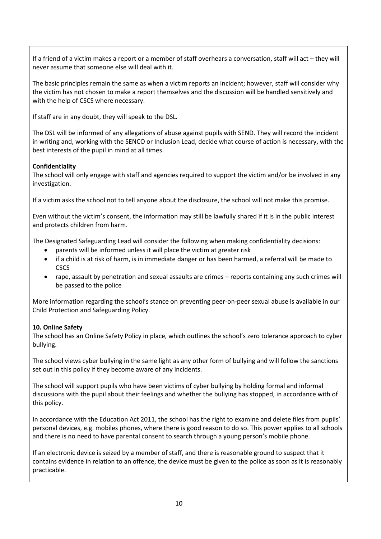If a friend of a victim makes a report or a member of staff overhears a conversation, staff will act – they will never assume that someone else will deal with it.

The basic principles remain the same as when a victim reports an incident; however, staff will consider why the victim has not chosen to make a report themselves and the discussion will be handled sensitively and with the help of CSCS where necessary.

If staff are in any doubt, they will speak to the DSL.

The DSL will be informed of any allegations of abuse against pupils with SEND. They will record the incident in writing and, working with the SENCO or Inclusion Lead, decide what course of action is necessary, with the best interests of the pupil in mind at all times.

#### **Confidentiality**

The school will only engage with staff and agencies required to support the victim and/or be involved in any investigation.

If a victim asks the school not to tell anyone about the disclosure, the school will not make this promise.

Even without the victim's consent, the information may still be lawfully shared if it is in the public interest and protects children from harm.

The Designated Safeguarding Lead will consider the following when making confidentiality decisions:

- parents will be informed unless it will place the victim at greater risk
- if a child is at risk of harm, is in immediate danger or has been harmed, a referral will be made to **CSCS**
- rape, assault by penetration and sexual assaults are crimes reports containing any such crimes will be passed to the police

More information regarding the school's stance on preventing peer-on-peer sexual abuse is available in our Child Protection and Safeguarding Policy.

### **10. Online Safety**

The school has an Online Safety Policy in place, which outlines the school's zero tolerance approach to cyber bullying.

The school views cyber bullying in the same light as any other form of bullying and will follow the sanctions set out in this policy if they become aware of any incidents.

The school will support pupils who have been victims of cyber bullying by holding formal and informal discussions with the pupil about their feelings and whether the bullying has stopped, in accordance with of this policy.

In accordance with the Education Act 2011, the school has the right to examine and delete files from pupils' personal devices, e.g. mobiles phones, where there is good reason to do so. This power applies to all schools and there is no need to have parental consent to search through a young person's mobile phone.

If an electronic device is seized by a member of staff, and there is reasonable ground to suspect that it contains evidence in relation to an offence, the device must be given to the police as soon as it is reasonably practicable.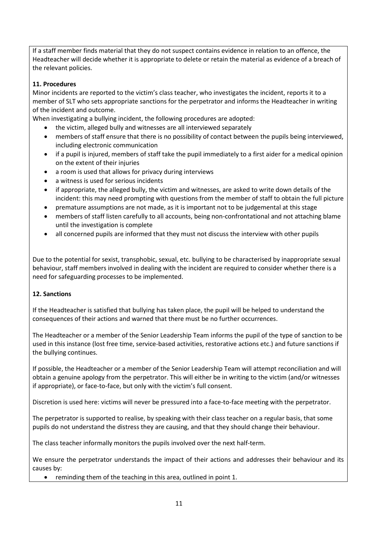If a staff member finds material that they do not suspect contains evidence in relation to an offence, the Headteacher will decide whether it is appropriate to delete or retain the material as evidence of a breach of the relevant policies.

#### **11. Procedures**

Minor incidents are reported to the victim's class teacher, who investigates the incident, reports it to a member of SLT who sets appropriate sanctions for the perpetrator and informs the Headteacher in writing of the incident and outcome.

When investigating a bullying incident, the following procedures are adopted:

- the victim, alleged bully and witnesses are all interviewed separately
- members of staff ensure that there is no possibility of contact between the pupils being interviewed, including electronic communication
- if a pupil is injured, members of staff take the pupil immediately to a first aider for a medical opinion on the extent of their injuries
- a room is used that allows for privacy during interviews
- a witness is used for serious incidents
- if appropriate, the alleged bully, the victim and witnesses, are asked to write down details of the incident: this may need prompting with questions from the member of staff to obtain the full picture
- premature assumptions are not made, as it is important not to be judgemental at this stage
- members of staff listen carefully to all accounts, being non-confrontational and not attaching blame until the investigation is complete
- all concerned pupils are informed that they must not discuss the interview with other pupils

Due to the potential for sexist, transphobic, sexual, etc. bullying to be characterised by inappropriate sexual behaviour, staff members involved in dealing with the incident are required to consider whether there is a need for safeguarding processes to be implemented.

#### **12. Sanctions**

If the Headteacher is satisfied that bullying has taken place, the pupil will be helped to understand the consequences of their actions and warned that there must be no further occurrences.

The Headteacher or a member of the Senior Leadership Team informs the pupil of the type of sanction to be used in this instance (lost free time, service-based activities, restorative actions etc.) and future sanctions if the bullying continues.

If possible, the Headteacher or a member of the Senior Leadership Team will attempt reconciliation and will obtain a genuine apology from the perpetrator. This will either be in writing to the victim (and/or witnesses if appropriate), or face-to-face, but only with the victim's full consent.

Discretion is used here: victims will never be pressured into a face-to-face meeting with the perpetrator.

The perpetrator is supported to realise, by speaking with their class teacher on a regular basis, that some pupils do not understand the distress they are causing, and that they should change their behaviour.

The class teacher informally monitors the pupils involved over the next half-term.

We ensure the perpetrator understands the impact of their actions and addresses their behaviour and its causes by:

• reminding them of the teaching in this area, outlined in point 1.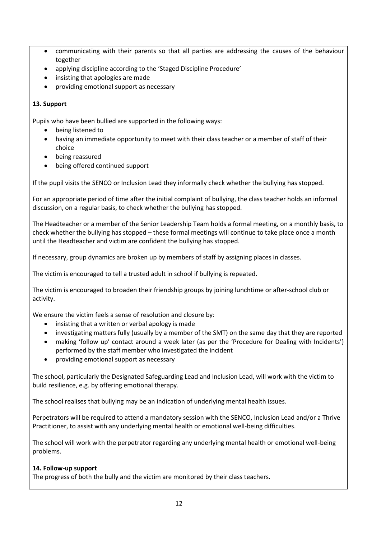- communicating with their parents so that all parties are addressing the causes of the behaviour together
- applying discipline according to the 'Staged Discipline Procedure'
- insisting that apologies are made
- providing emotional support as necessary

#### **13. Support**

Pupils who have been bullied are supported in the following ways:

- being listened to
- having an immediate opportunity to meet with their class teacher or a member of staff of their choice
- being reassured
- being offered continued support

If the pupil visits the SENCO or Inclusion Lead they informally check whether the bullying has stopped.

For an appropriate period of time after the initial complaint of bullying, the class teacher holds an informal discussion, on a regular basis, to check whether the bullying has stopped.

The Headteacher or a member of the Senior Leadership Team holds a formal meeting, on a monthly basis, to check whether the bullying has stopped – these formal meetings will continue to take place once a month until the Headteacher and victim are confident the bullying has stopped.

If necessary, group dynamics are broken up by members of staff by assigning places in classes.

The victim is encouraged to tell a trusted adult in school if bullying is repeated.

The victim is encouraged to broaden their friendship groups by joining lunchtime or after-school club or activity.

We ensure the victim feels a sense of resolution and closure by:

- insisting that a written or verbal apology is made
- investigating matters fully (usually by a member of the SMT) on the same day that they are reported
- making 'follow up' contact around a week later (as per the 'Procedure for Dealing with Incidents') performed by the staff member who investigated the incident
- providing emotional support as necessary

The school, particularly the Designated Safeguarding Lead and Inclusion Lead, will work with the victim to build resilience, e.g. by offering emotional therapy.

The school realises that bullying may be an indication of underlying mental health issues.

Perpetrators will be required to attend a mandatory session with the SENCO, Inclusion Lead and/or a Thrive Practitioner, to assist with any underlying mental health or emotional well-being difficulties.

The school will work with the perpetrator regarding any underlying mental health or emotional well-being problems.

#### **14. Follow-up support**

The progress of both the bully and the victim are monitored by their class teachers.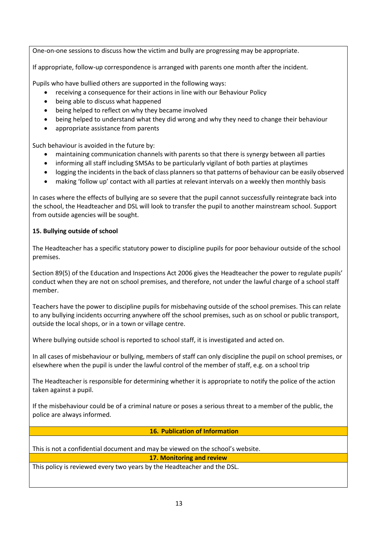One-on-one sessions to discuss how the victim and bully are progressing may be appropriate.

If appropriate, follow-up correspondence is arranged with parents one month after the incident.

Pupils who have bullied others are supported in the following ways:

- receiving a consequence for their actions in line with our Behaviour Policy
- being able to discuss what happened
- being helped to reflect on why they became involved
- being helped to understand what they did wrong and why they need to change their behaviour
- appropriate assistance from parents

Such behaviour is avoided in the future by:

- maintaining communication channels with parents so that there is synergy between all parties
- informing all staff including SMSAs to be particularly vigilant of both parties at playtimes
- logging the incidents in the back of class planners so that patterns of behaviour can be easily observed
- making 'follow up' contact with all parties at relevant intervals on a weekly then monthly basis

In cases where the effects of bullying are so severe that the pupil cannot successfully reintegrate back into the school, the Headteacher and DSL will look to transfer the pupil to another mainstream school. Support from outside agencies will be sought.

#### **15. Bullying outside of school**

The Headteacher has a specific statutory power to discipline pupils for poor behaviour outside of the school premises.

Section 89(5) of the Education and Inspections Act 2006 gives the Headteacher the power to regulate pupils' conduct when they are not on school premises, and therefore, not under the lawful charge of a school staff member.

Teachers have the power to discipline pupils for misbehaving outside of the school premises. This can relate to any bullying incidents occurring anywhere off the school premises, such as on school or public transport, outside the local shops, or in a town or village centre.

Where bullying outside school is reported to school staff, it is investigated and acted on.

In all cases of misbehaviour or bullying, members of staff can only discipline the pupil on school premises, or elsewhere when the pupil is under the lawful control of the member of staff, e.g. on a school trip

The Headteacher is responsible for determining whether it is appropriate to notify the police of the action taken against a pupil.

If the misbehaviour could be of a criminal nature or poses a serious threat to a member of the public, the police are always informed.

**16. Publication of Information**

This is not a confidential document and may be viewed on the school's website.

**17. Monitoring and review**

This policy is reviewed every two years by the Headteacher and the DSL.